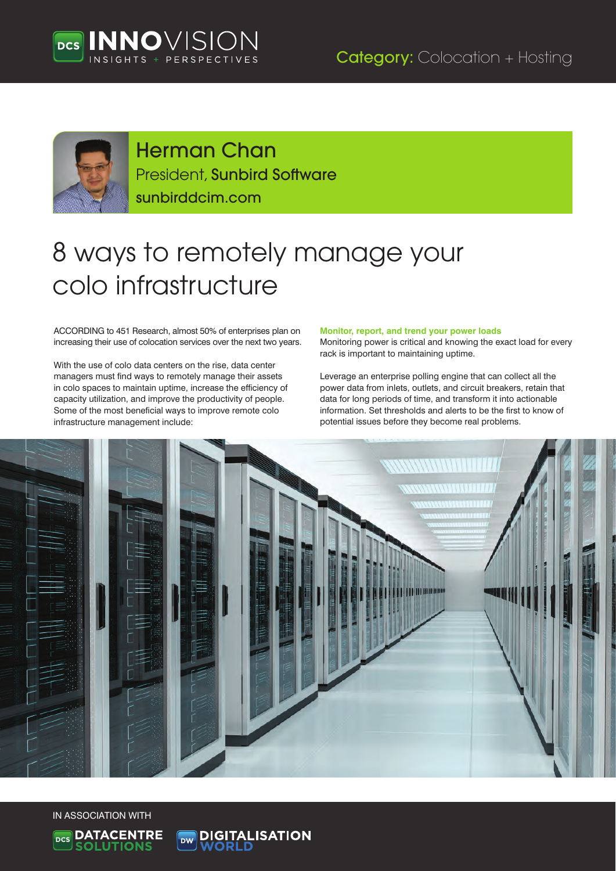





# Herman Chan President, Sunbird Software

sunbirddcim.com

# 8 ways to remotely manage your colo infrastructure

ACCORDING to 451 Research, almost 50% of enterprises plan on increasing their use of colocation services over the next two years.

With the use of colo data centers on the rise, data center managers must find ways to remotely manage their assets in colo spaces to maintain uptime, increase the efficiency of capacity utilization, and improve the productivity of people. Some of the most beneficial ways to improve remote colo infrastructure management include:

#### **Monitor, report, and trend your power loads**

Monitoring power is critical and knowing the exact load for every rack is important to maintaining uptime.

Leverage an enterprise polling engine that can collect all the power data from inlets, outlets, and circuit breakers, retain that data for long periods of time, and transform it into actionable information. Set thresholds and alerts to be the first to know of potential issues before they become real problems.



IN ASSOCIATION WITH



**DIGITALISATION**<br>WORLD